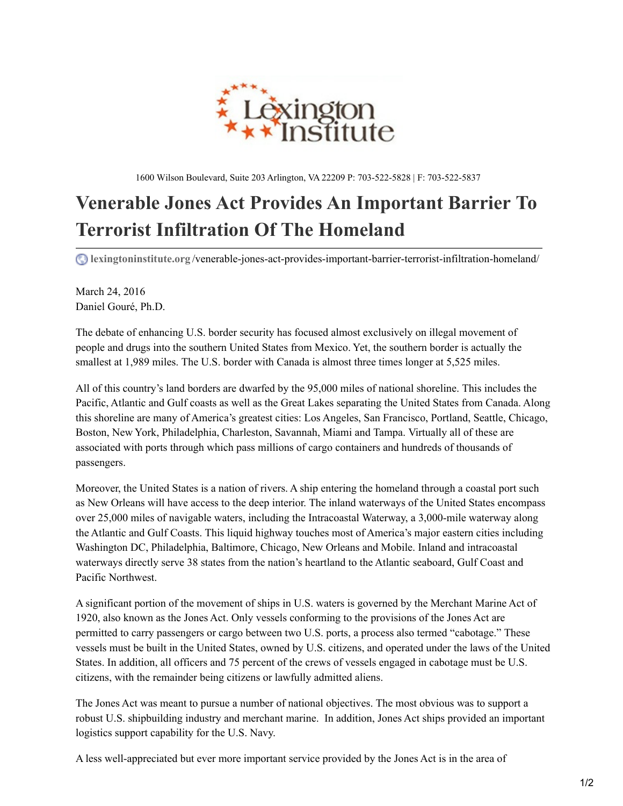

1600 Wilson Boulevard, Suite 203 Arlington, VA 22209 P: 703-522-5828 | F: 703-522-5837

## **Venerable Jones Act Provides An Important Barrier To Terrorist Infiltration Of The Homeland**

**lexingtoninstitute.org** [/venerable-jones-act-provides-important-barrier-terrorist-infiltration-homeland/](http://www.lexingtoninstitute.org/venerable-jones-act-provides-important-barrier-terrorist-infiltration-homeland/)

March 24, 2016 Daniel [Gouré,](http://www.lexingtoninstitute.org/author/daniel-goure-ph-d/) Ph.D.

The debate of enhancing U.S. border security has focused almost exclusively on illegal movement of people and drugs into the southern United States from Mexico. Yet, the southern border is actually the smallest at 1,989 miles. The U.S. border with Canada is almost three times longer at 5,525 miles.

All of this country's land borders are dwarfed by the 95,000 miles of national shoreline. This includes the Pacific, Atlantic and Gulf coasts as well as the Great Lakes separating the United States from Canada. Along this shoreline are many of America's greatest cities: Los Angeles, San Francisco, Portland, Seattle, Chicago, Boston, New York, Philadelphia, Charleston, Savannah, Miami and Tampa. Virtually all of these are associated with ports through which pass millions of cargo containers and hundreds of thousands of passengers.

Moreover, the United States is a nation of rivers. A ship entering the homeland through a coastal port such as New Orleans will have access to the deep interior. The inland waterways of the United States encompass over 25,000 miles of navigable waters, including the Intracoastal Waterway, a 3,000-mile waterway along the Atlantic and Gulf Coasts. This liquid highway touches most of America's major eastern cities including Washington DC, Philadelphia, Baltimore, Chicago, New Orleans and Mobile. Inland and intracoastal waterways directly serve 38 states from the nation's heartland to the Atlantic seaboard, Gulf Coast and Pacific Northwest.

A significant portion of the movement of ships in U.S. waters is governed by the Merchant Marine Act of 1920, also known as the Jones Act. Only vessels conforming to the provisions of the Jones Act are permitted to carry passengers or cargo between two U.S. ports, a process also termed "cabotage." These vessels must be built in the United States, owned by U.S. citizens, and operated under the laws of the United States. In addition, all officers and 75 percent of the crews of vessels engaged in cabotage must be U.S. citizens, with the remainder being citizens or lawfully admitted aliens.

The Jones Act was meant to pursue a number of national objectives. The most obvious was to support a robust U.S. shipbuilding industry and merchant marine. In addition, Jones Act ships provided an important logistics support capability for the U.S. Navy.

A less well-appreciated but ever more important service provided by the Jones Act is in the area of